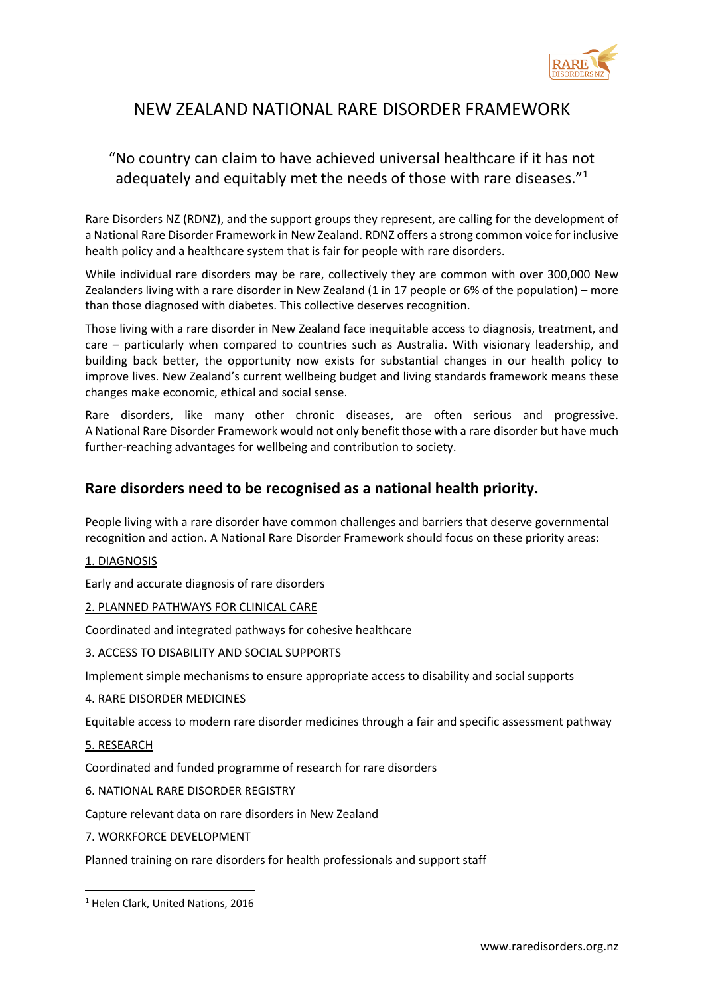

# NEW ZEALAND NATIONAL RARE DISORDER FRAMEWORK

## "No country can claim to have achieved universal healthcare if it has not adequately and equitably met the needs of those with rare diseases."<sup>1</sup>

Rare Disorders NZ (RDNZ), and the support groups they represent, are calling for the development of a National Rare Disorder Framework in New Zealand. RDNZ offers a strong common voice for inclusive health policy and a healthcare system that is fair for people with rare disorders.

While individual rare disorders may be rare, collectively they are common with over 300,000 New Zealanders living with a rare disorder in New Zealand (1 in 17 people or 6% of the population) – more than those diagnosed with diabetes. This collective deserves recognition.

Those living with a rare disorder in New Zealand face inequitable access to diagnosis, treatment, and care – particularly when compared to countries such as Australia. With visionary leadership, and building back better, the opportunity now exists for substantial changes in our health policy to improve lives. New Zealand's current wellbeing budget and living standards framework means these changes make economic, ethical and social sense.

Rare disorders, like many other chronic diseases, are often serious and progressive. A National Rare Disorder Framework would not only benefit those with a rare disorder but have much further-reaching advantages for wellbeing and contribution to society.

### **Rare disorders need to be recognised as a national health priority.**

People living with a rare disorder have common challenges and barriers that deserve governmental recognition and action. A National Rare Disorder Framework should focus on these priority areas:

1. DIAGNOSIS

Early and accurate diagnosis of rare disorders

#### 2. PLANNED PATHWAYS FOR CLINICAL CARE

Coordinated and integrated pathways for cohesive healthcare

#### 3. ACCESS TO DISABILITY AND SOCIAL SUPPORTS

Implement simple mechanisms to ensure appropriate access to disability and social supports

#### 4. RARE DISORDER MEDICINES

Equitable access to modern rare disorder medicines through a fair and specific assessment pathway

5. RESEARCH

Coordinated and funded programme of research for rare disorders

6. NATIONAL RARE DISORDER REGISTRY

Capture relevant data on rare disorders in New Zealand

7. WORKFORCE DEVELOPMENT

Planned training on rare disorders for health professionals and support staff

<sup>&</sup>lt;sup>1</sup> Helen Clark, United Nations, 2016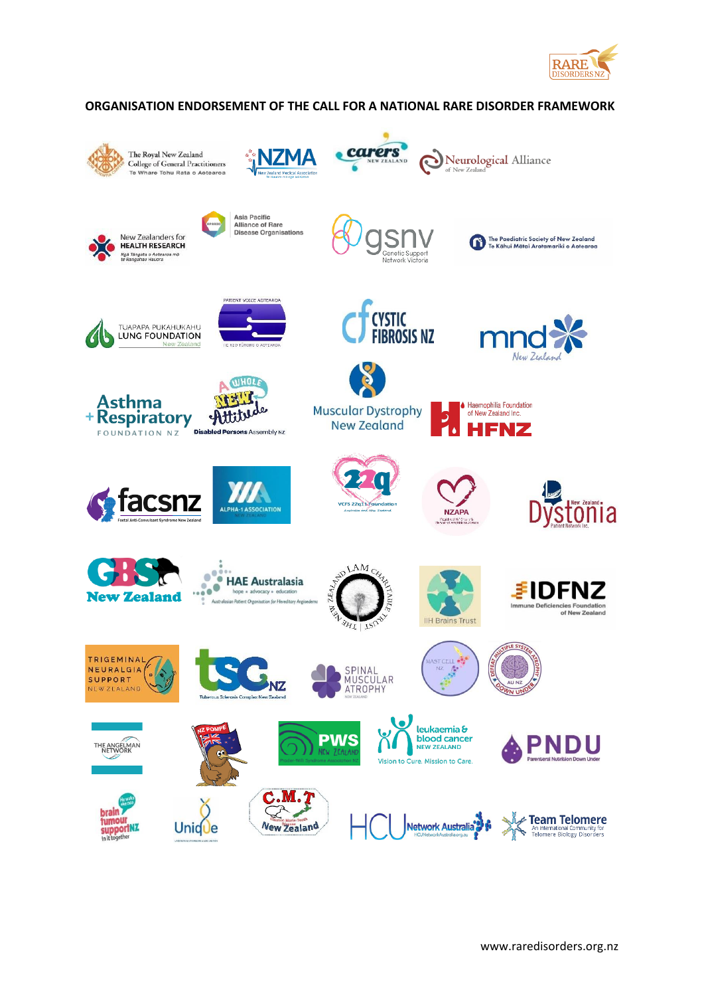

#### **ORGANISATION ENDORSEMENT OF THE CALL FOR A NATIONAL RARE DISORDER FRAMEWORK**

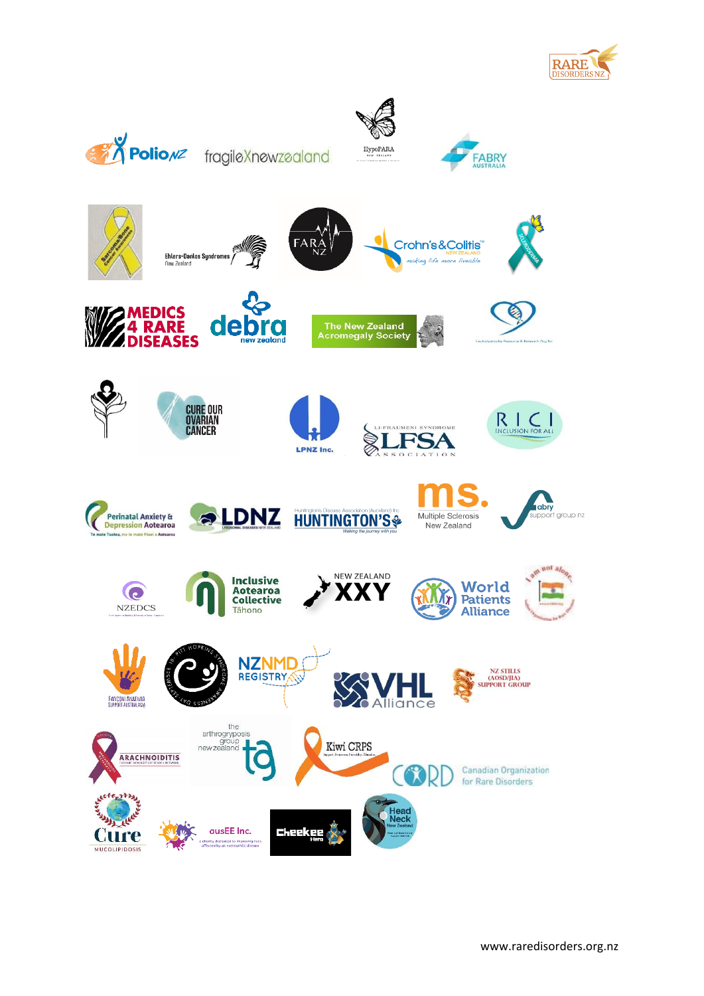